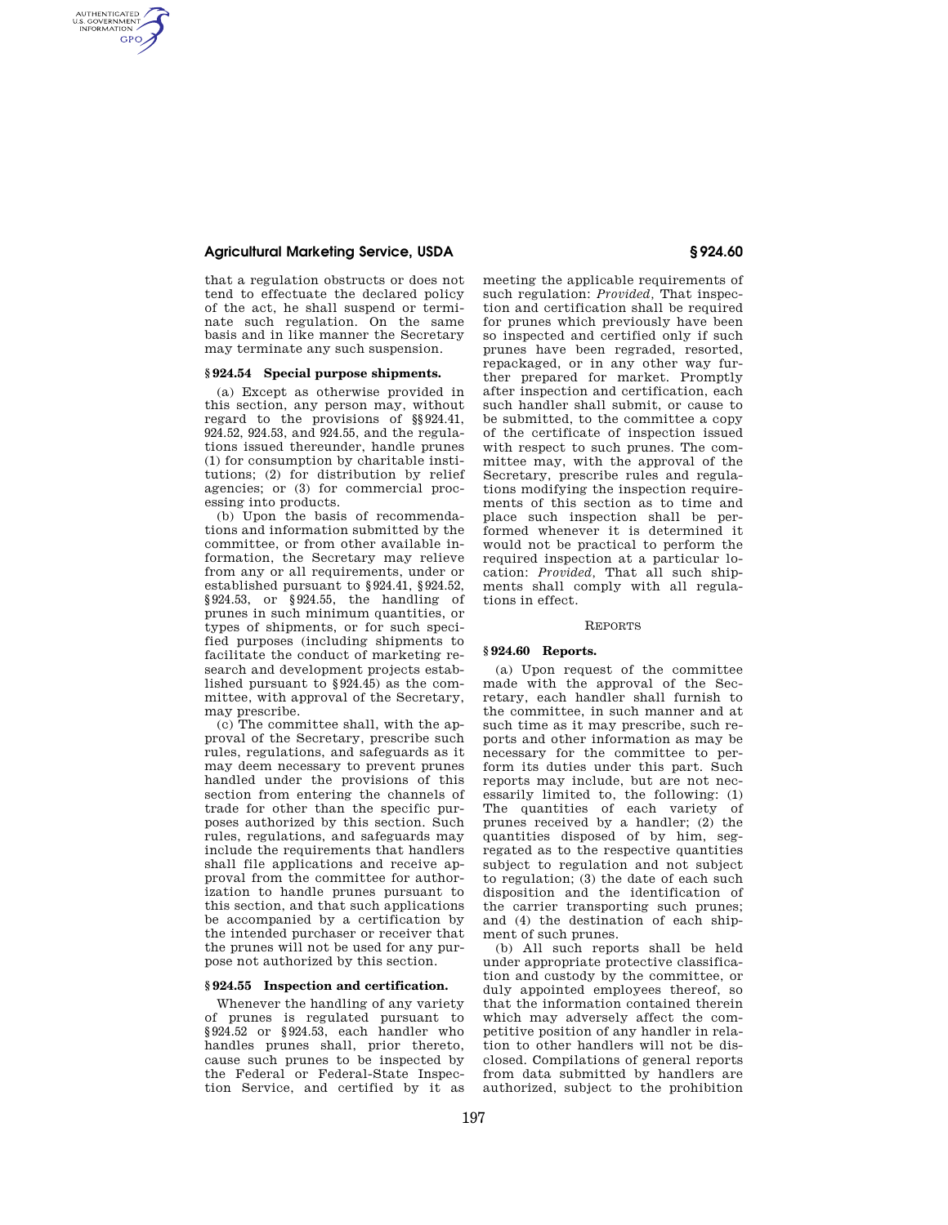# **Agricultural Marketing Service, USDA § 924.60**

AUTHENTICATED<br>U.S. GOVERNMENT<br>INFORMATION **GPO** 

> that a regulation obstructs or does not tend to effectuate the declared policy of the act, he shall suspend or terminate such regulation. On the same basis and in like manner the Secretary may terminate any such suspension.

#### **§ 924.54 Special purpose shipments.**

(a) Except as otherwise provided in this section, any person may, without regard to the provisions of §§924.41, 924.52, 924.53, and 924.55, and the regulations issued thereunder, handle prunes (1) for consumption by charitable institutions; (2) for distribution by relief agencies; or (3) for commercial processing into products.

(b) Upon the basis of recommendations and information submitted by the committee, or from other available information, the Secretary may relieve from any or all requirements, under or established pursuant to §924.41, §924.52, §924.53, or §924.55, the handling of prunes in such minimum quantities, or types of shipments, or for such specified purposes (including shipments to facilitate the conduct of marketing research and development projects established pursuant to §924.45) as the committee, with approval of the Secretary, may prescribe.

(c) The committee shall, with the approval of the Secretary, prescribe such rules, regulations, and safeguards as it may deem necessary to prevent prunes handled under the provisions of this section from entering the channels of trade for other than the specific purposes authorized by this section. Such rules, regulations, and safeguards may include the requirements that handlers shall file applications and receive approval from the committee for authorization to handle prunes pursuant to this section, and that such applications be accompanied by a certification by the intended purchaser or receiver that the prunes will not be used for any purpose not authorized by this section.

# **§ 924.55 Inspection and certification.**

Whenever the handling of any variety of prunes is regulated pursuant to §924.52 or §924.53, each handler who handles prunes shall, prior thereto, cause such prunes to be inspected by the Federal or Federal-State Inspection Service, and certified by it as meeting the applicable requirements of such regulation: *Provided,* That inspection and certification shall be required for prunes which previously have been so inspected and certified only if such prunes have been regraded, resorted, repackaged, or in any other way further prepared for market. Promptly after inspection and certification, each such handler shall submit, or cause to be submitted, to the committee a copy of the certificate of inspection issued with respect to such prunes. The committee may, with the approval of the Secretary, prescribe rules and regulations modifying the inspection requirements of this section as to time and place such inspection shall be performed whenever it is determined it would not be practical to perform the required inspection at a particular location: *Provided,* That all such shipments shall comply with all regulations in effect.

# REPORTS

# **§ 924.60 Reports.**

(a) Upon request of the committee made with the approval of the Secretary, each handler shall furnish to the committee, in such manner and at such time as it may prescribe, such reports and other information as may be necessary for the committee to perform its duties under this part. Such reports may include, but are not necessarily limited to, the following: (1) The quantities of each variety of prunes received by a handler; (2) the quantities disposed of by him, segregated as to the respective quantities subject to regulation and not subject to regulation; (3) the date of each such disposition and the identification of the carrier transporting such prunes; and (4) the destination of each shipment of such prunes.

(b) All such reports shall be held under appropriate protective classification and custody by the committee, or duly appointed employees thereof, so that the information contained therein which may adversely affect the competitive position of any handler in relation to other handlers will not be disclosed. Compilations of general reports from data submitted by handlers are authorized, subject to the prohibition